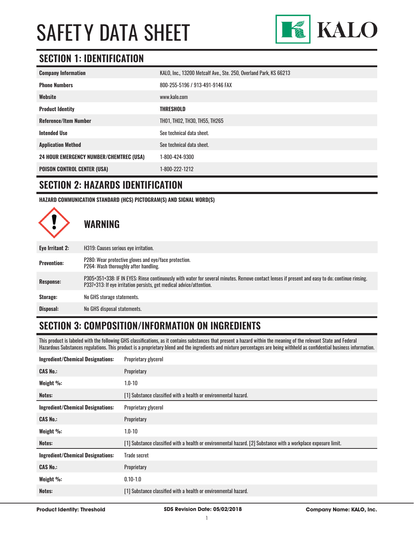

### **SECTION 1: IDENTIFICATION**

| <b>Company Information</b>                     | KALO, Inc., 13200 Metcalf Ave., Ste. 250, Overland Park, KS 66213 |
|------------------------------------------------|-------------------------------------------------------------------|
| <b>Phone Numbers</b>                           | 800-255-5196 / 913-491-9146 FAX                                   |
| Website                                        | www.kalo.com                                                      |
| <b>Product Identity</b>                        | <b>THRESHOLD</b>                                                  |
| <b>Reference/Item Number</b>                   | TH01, TH02, TH30, TH55, TH265                                     |
| <b>Intended Use</b>                            | See technical data sheet.                                         |
| <b>Application Method</b>                      | See technical data sheet.                                         |
| <b>24 HOUR EMERGENCY NUMBER/CHEMTREC (USA)</b> | 1-800-424-9300                                                    |
| <b>POISON CONTROL CENTER (USA)</b>             | 1-800-222-1212                                                    |

#### **SECTION 2: HAZARDS IDENTIFICATION**

**HAZARD COMMUNICATION STANDARD (HCS) PICTOGRAM(S) AND SIGNAL WORD(S)**



# **SECTION 3: COMPOSITION/INFORMATION ON INGREDIENTS**

This product is labeled with the following GHS classifications, as it contains substances that present a hazard within the meaning of the relevant State and Federal Hazardous Substances regulations. This product is a proprietary blend and the ingredients and mixture percentages are being withheld as confidential business information.

| <b>Ingredient/Chemical Designations:</b> | Proprietary glycerol                                                                                           |
|------------------------------------------|----------------------------------------------------------------------------------------------------------------|
| <b>CAS No.:</b>                          | Proprietary                                                                                                    |
| Weight %:                                | $1.0 - 10$                                                                                                     |
| Notes:                                   | [1] Substance classified with a health or environmental hazard.                                                |
| <b>Ingredient/Chemical Designations:</b> | Proprietary glycerol                                                                                           |
| <b>CAS No.:</b>                          | Proprietary                                                                                                    |
| Weight %:                                | $1.0 - 10$                                                                                                     |
| Notes:                                   | [1] Substance classified with a health or environmental hazard. [2] Substance with a workplace exposure limit. |
| <b>Ingredient/Chemical Designations:</b> | Trade secret                                                                                                   |
| <b>CAS No.:</b>                          | Proprietary                                                                                                    |
| Weight %:                                | $0.10 - 1.0$                                                                                                   |
| Notes:                                   | [1] Substance classified with a health or environmental hazard.                                                |
|                                          |                                                                                                                |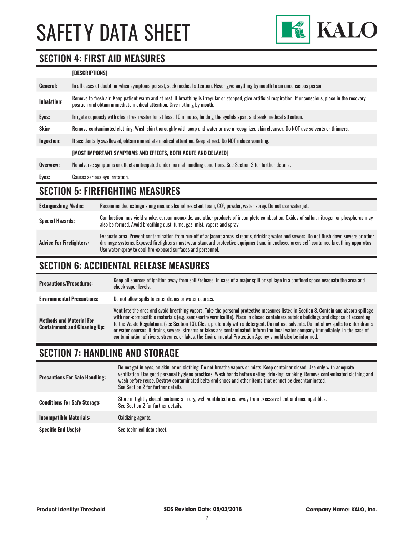

## **SECTION 4: FIRST AID MEASURES**

| [DESCRIPTIONS] |
|----------------|
|----------------|

| General:           | In all cases of doubt, or when symptoms persist, seek medical attention. Never give anything by mouth to an unconscious person.                                                                                                         |
|--------------------|-----------------------------------------------------------------------------------------------------------------------------------------------------------------------------------------------------------------------------------------|
| <b>Inhalation:</b> | Remove to fresh air. Keep patient warm and at rest. If breathing is irregular or stopped, give artificial respiration. If unconscious, place in the recovery<br>position and obtain immediate medical attention. Give nothing by mouth. |
| Eyes:              | Irrigate copiously with clean fresh water for at least 10 minutes, holding the eyelids apart and seek medical attention.                                                                                                                |
| Skin:              | Remove contaminated clothing. Wash skin thoroughly with soap and water or use a recognized skin cleanser. Do NOT use solvents or thinners.                                                                                              |
| Ingestion:         | If accidentally swallowed, obtain immediate medical attention. Keep at rest, Do NOT induce vomiting.                                                                                                                                    |
|                    | [MOST IMPORTANT SYMPTOMS AND EFFECTS, BOTH ACUTE AND DELAYED]                                                                                                                                                                           |
| Overview:          | No adverse symptoms or effects anticipated under normal handling conditions. See Section 2 for further details.                                                                                                                         |
| Eyes:              | Causes serious eye irritation.                                                                                                                                                                                                          |

#### **SECTION 5: FIREFIGHTING MEASURES**

| <b>Extinguishing Media:</b>     | Recommended extinguishing media: alcohol resistant foam, CO <sup>2</sup> , powder, water spray. Do not use water jet.                                                                                                                                                                                                                                  |
|---------------------------------|--------------------------------------------------------------------------------------------------------------------------------------------------------------------------------------------------------------------------------------------------------------------------------------------------------------------------------------------------------|
| <b>Special Hazards:</b>         | Combustion may yield smoke, carbon monoxide, and other products of incomplete combustion. Oxides of sulfur, nitrogen or phosphorus may<br>also be formed. Avoid breathing dust, fume, gas, mist, vapors and spray.                                                                                                                                     |
| <b>Advice For Firefighters:</b> | Evacuate area. Prevent contamination from run-off of adjacent areas, streams, drinking water and sewers. Do not flush down sewers or other<br>drainage systems. Exposed firefighters must wear standard protective equipment and in enclosed areas self-contained breathing apparatus.<br>Use water-spray to cool fire-exposed surfaces and personnel. |

# **SECTION 6: ACCIDENTAL RELEASE MEASURES**

| <b>Precautions/Procedures:</b>                                         | Keep all sources of ignition away from spill/release. In case of a major spill or spillage in a confined space evacuate the area and<br>check vapor levels.                                                                                                                                                                                                                                                                                                                                                                                                                                                                                                               |
|------------------------------------------------------------------------|---------------------------------------------------------------------------------------------------------------------------------------------------------------------------------------------------------------------------------------------------------------------------------------------------------------------------------------------------------------------------------------------------------------------------------------------------------------------------------------------------------------------------------------------------------------------------------------------------------------------------------------------------------------------------|
| <b>Environmental Precautions:</b>                                      | Do not allow spills to enter drains or water courses.                                                                                                                                                                                                                                                                                                                                                                                                                                                                                                                                                                                                                     |
| <b>Methods and Material For</b><br><b>Containment and Cleaning Up:</b> | Ventilate the area and avoid breathing vapors. Take the personal protective measures listed in Section 8. Contain and absorb spillage<br>with non-combustible materials (e.g. sand/earth/vermiculite). Place in closed containers outside buildings and dispose of according<br>to the Waste Regulations (see Section 13). Clean, preferably with a detergent. Do not use solvents. Do not allow spills to enter drains<br>or water courses. If drains, sewers, streams or lakes are contaminated, inform the local water company immediately. In the case of<br>contamination of rivers, streams, or lakes, the Environmental Protection Agency should also be informed. |

#### **SECTION 7: HANDLING AND STORAGE**

| <b>Precautions For Safe Handling:</b> | Do not get in eyes, on skin, or on clothing. Do not breathe vapors or mists. Keep container closed. Use only with adequate<br>ventilation. Use good personal hygiene practices. Wash hands before eating, drinking, smoking. Remove contaminated clothing and<br>wash before reuse. Destroy contaminated belts and shoes and other items that cannot be decontaminated.<br>See Section 2 for further details. |
|---------------------------------------|---------------------------------------------------------------------------------------------------------------------------------------------------------------------------------------------------------------------------------------------------------------------------------------------------------------------------------------------------------------------------------------------------------------|
| <b>Conditions For Safe Storage:</b>   | Store in tightly closed containers in dry, well-ventilated area, away from excessive heat and incompatibles.<br>See Section 2 for further details.                                                                                                                                                                                                                                                            |
| <b>Incompatible Materials:</b>        | Oxidizing agents.                                                                                                                                                                                                                                                                                                                                                                                             |
| <b>Specific End Use(s):</b>           | See technical data sheet.                                                                                                                                                                                                                                                                                                                                                                                     |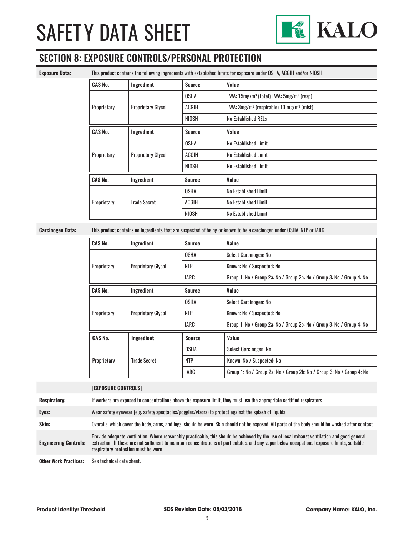

### **SECTION 8: EXPOSURE CONTROLS/PERSONAL PROTECTION**

**Exposure Data:** This product contains the following ingredients with established limits for exposure under OSHA, ACGIH and/or NIOSH.

| <b>CAS No.</b> | Ingredient                | <b>Source</b> | Value                                                            |
|----------------|---------------------------|---------------|------------------------------------------------------------------|
|                |                           | <b>OSHA</b>   | TWA: 15mg/m <sup>3</sup> (total) TWA: 5mg/m <sup>3</sup> (resp)  |
| Proprietary    | <b>Proprietary Glycol</b> | <b>ACGIH</b>  | TWA: 3mg/m <sup>3</sup> (respirable) 10 mg/m <sup>3</sup> (mist) |
|                |                           | <b>NIOSH</b>  | <b>No Established RELs</b>                                       |
| <b>CAS No.</b> | Ingredient                | <b>Source</b> | Value                                                            |
|                |                           | <b>OSHA</b>   | No Established Limit                                             |
| Proprietary    | <b>Proprietary Glycol</b> | <b>ACGIH</b>  | No Established Limit                                             |
|                |                           | <b>NIOSH</b>  | No Established Limit                                             |
| <b>CAS No.</b> | Ingredient                | <b>Source</b> | Value                                                            |
|                |                           | <b>OSHA</b>   | No Established Limit                                             |
| Proprietary    | <b>Trade Secret</b>       | ACGIH         | No Established Limit                                             |
|                |                           | <b>NIOSH</b>  | No Established Limit                                             |

**Carcinogen Data:** This product contains no ingredients that are suspected of being or known to be a carcinogen under OSHA, NTP or IARC.

| <b>CAS No.</b> | Ingredient                | <b>Source</b> | Value                                                                 |
|----------------|---------------------------|---------------|-----------------------------------------------------------------------|
|                |                           | <b>OSHA</b>   | Select Carcinogen: No                                                 |
| Proprietary    | <b>Proprietary Glycol</b> | <b>NTP</b>    | Known: No / Suspected: No                                             |
|                |                           | <b>IARC</b>   | Group 1: No / Group 2a: No / Group 2b: No / Group 3: No / Group 4: No |
| <b>CAS No.</b> | Ingredient                | <b>Source</b> | Value                                                                 |
|                |                           | <b>OSHA</b>   | Select Carcinogen: No                                                 |
| Proprietary    | <b>Proprietary Glycol</b> | <b>NTP</b>    | Known: No / Suspected: No                                             |
|                |                           | IARC          | Group 1: No / Group 2a: No / Group 2b: No / Group 3: No / Group 4: No |
| <b>CAS No.</b> | Ingredient                | <b>Source</b> | Value                                                                 |
| Proprietary    |                           | <b>OSHA</b>   | Select Carcinogen: No                                                 |
|                | <b>Trade Secret</b>       | <b>NTP</b>    | Known: No / Suspected: No                                             |
|                |                           | IARC          | Group 1: No / Group 2a: No / Group 2b: No / Group 3: No / Group 4: No |

|                              | <b>[EXPOSURE CONTROLS]</b>                                                                                                                                                                                                                                                                                                             |
|------------------------------|----------------------------------------------------------------------------------------------------------------------------------------------------------------------------------------------------------------------------------------------------------------------------------------------------------------------------------------|
| <b>Respiratory:</b>          | If workers are exposed to concentrations above the exposure limit, they must use the appropriate certified respirators.                                                                                                                                                                                                                |
| Eyes:                        | Wear safety eyewear (e.g. safety spectacles/goggles/visors) to protect against the splash of liquids.                                                                                                                                                                                                                                  |
| Skin:                        | Overalls, which cover the body, arms, and legs, should be worn. Skin should not be exposed. All parts of the body should be washed after contact.                                                                                                                                                                                      |
| <b>Engineering Controls:</b> | Provide adequate ventilation. Where reasonably practicable, this should be achieved by the use of local exhaust ventilation and good general<br>extraction. If these are not sufficient to maintain concentrations of particulates, and any vapor below occupational exposure limits, suitable<br>respiratory protection must be worn. |
| <b>Other Work Practices:</b> | See technical data sheet.                                                                                                                                                                                                                                                                                                              |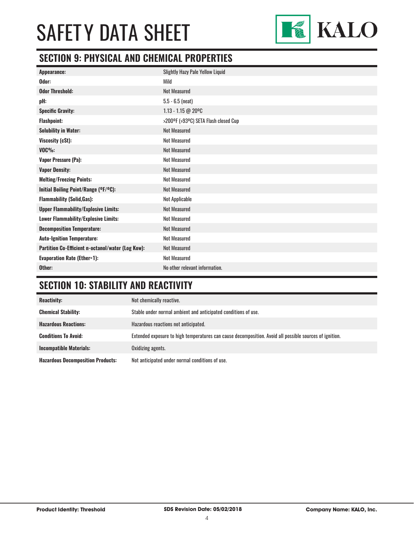

## **SECTION 9: PHYSICAL AND CHEMICAL PROPERTIES**

| <b>Slightly Hazy Pale Yellow Liquid</b> |
|-----------------------------------------|
| Mild                                    |
| <b>Not Measured</b>                     |
| $5.5 - 6.5$ (neat)                      |
| $1.13 - 1.15 @ 20°C$                    |
| >200°F (>93°C) SETA Flash closed Cup    |
| <b>Not Measured</b>                     |
| <b>Not Measured</b>                     |
| <b>Not Measured</b>                     |
| <b>Not Measured</b>                     |
| <b>Not Measured</b>                     |
| <b>Not Measured</b>                     |
| <b>Not Measured</b>                     |
| Not Applicable                          |
| <b>Not Measured</b>                     |
| <b>Not Measured</b>                     |
| <b>Not Measured</b>                     |
| <b>Not Measured</b>                     |
| <b>Not Measured</b>                     |
| <b>Not Measured</b>                     |
| No other relevant information.          |
|                                         |

# **SECTION 10: STABILITY AND REACTIVITY**

| <b>Reactivity:</b>                       | Not chemically reactive.                                                                                |
|------------------------------------------|---------------------------------------------------------------------------------------------------------|
| <b>Chemical Stability:</b>               | Stable under normal ambient and anticipated conditions of use.                                          |
| <b>Hazardous Reactions:</b>              | Hazardous reactions not anticipated.                                                                    |
| <b>Conditions To Avoid:</b>              | Extended exposure to high temperatures can cause decomposition. Avoid all possible sources of ignition. |
| <b>Incompatible Materials:</b>           | Oxidizing agents.                                                                                       |
| <b>Hazardous Decomposition Products:</b> | Not anticipated under normal conditions of use.                                                         |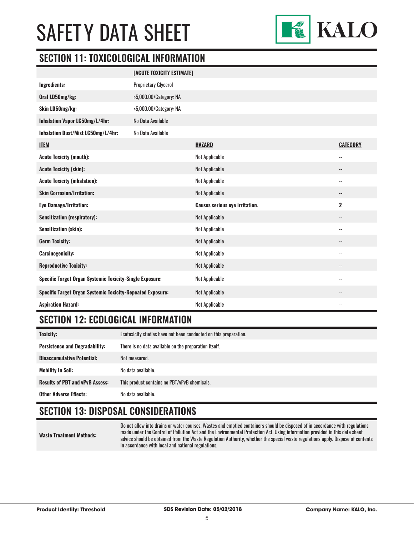

#### **SECTION 11: TOXICOLOGICAL INFORMATION**

|                                                                   | [ACUTE TOXICITY ESTIMATE]   |                                       |                          |
|-------------------------------------------------------------------|-----------------------------|---------------------------------------|--------------------------|
| Ingredients:                                                      | <b>Proprietary Glycerol</b> |                                       |                          |
| Oral LD50mg/kg:                                                   | >5,000.00/Category: NA      |                                       |                          |
| Skin LD50mg/kg:                                                   | >5,000.00/Category: NA      |                                       |                          |
| Inhalation Vapor LC50mg/L/4hr:                                    | No Data Available           |                                       |                          |
| Inhalation Dust/Mist LC50mg/L/4hr:                                | No Data Available           |                                       |                          |
| <b>ITEM</b>                                                       |                             | <b>HAZARD</b>                         | <b>CATEGORY</b>          |
| <b>Acute Toxicity (mouth):</b>                                    |                             | <b>Not Applicable</b>                 | $-$                      |
| <b>Acute Toxicity (skin):</b>                                     |                             | <b>Not Applicable</b>                 | $\overline{\phantom{a}}$ |
| <b>Acute Toxicity (inhalation):</b>                               |                             | <b>Not Applicable</b>                 | $-$                      |
| <b>Skin Corrosion/Irritation:</b>                                 |                             | <b>Not Applicable</b>                 | --                       |
| <b>Eye Damage/Irritation:</b>                                     |                             | <b>Causes serious eye irritation.</b> | $\overline{\mathbf{2}}$  |
| <b>Sensitization (respiratory):</b>                               |                             | <b>Not Applicable</b>                 | $\overline{\phantom{a}}$ |
| <b>Sensitization (skin):</b>                                      |                             | <b>Not Applicable</b>                 | $-$                      |
| <b>Germ Toxicity:</b>                                             |                             | <b>Not Applicable</b>                 | $\overline{\phantom{a}}$ |
| <b>Carcinogenicity:</b>                                           |                             | <b>Not Applicable</b>                 | $-$                      |
| <b>Reproductive Toxicity:</b>                                     |                             | <b>Not Applicable</b>                 | --                       |
| Specific Target Organ Systemic Toxicity-Single Exposure:          |                             | Not Applicable                        | $-$                      |
| <b>Specific Target Organ Systemic Toxicity-Repeated Exposure:</b> |                             | <b>Not Applicable</b>                 | $\overline{\phantom{a}}$ |
| <b>Aspiration Hazard:</b>                                         |                             | Not Applicable                        | $-$                      |

### **SECTION 12: ECOLOGICAL INFORMATION**

| Toxicity:                              | Ecotoxicity studies have not been conducted on this preparation. |
|----------------------------------------|------------------------------------------------------------------|
| <b>Persistence and Degradability:</b>  | There is no data available on the preparation itself.            |
| <b>Bioaccumulative Potential:</b>      | Not measured.                                                    |
| <b>Mobility In Soil:</b>               | No data available.                                               |
| <b>Results of PBT and vPvB Assess:</b> | This product contains no PBT/vPvB chemicals.                     |
| <b>Other Adverse Effects:</b>          | No data available.                                               |

## **SECTION 13: DISPOSAL CONSIDERATIONS**

**Waste Treatment Methods:**

Do not allow into drains or water courses. Wastes and emptied containers should be disposed of in accordance with regulations made under the Control of Pollution Act and the Environmental Protection Act. Using information provided in this data sheet advice should be obtained from the Waste Regulation Authority, whether the special waste regulations apply. Dispose of contents in accordance with local and national regulations.